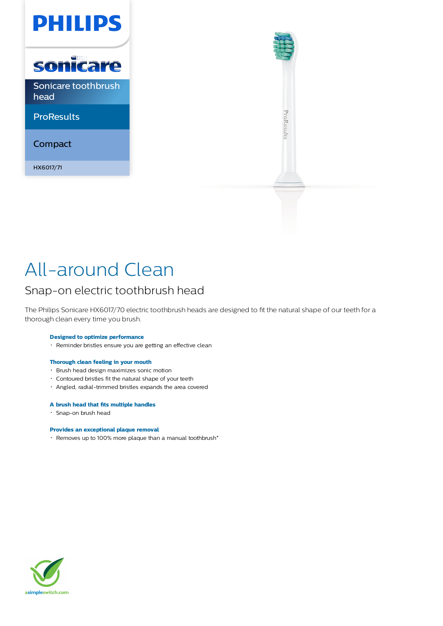



# All-around Clean

### Snap-on electric toothbrush head

The Philips Sonicare HX6017/70 electric toothbrush heads are designed to fit the natural shape of our teeth for a thorough clean every time you brush.

### **Designed to optimize performance**

Reminder bristles ensure you are getting an effective clean

#### **Thorough clean feeling in your mouth**

- Brush head design maximizes sonic motion
- Contoured bristles fit the natural shape of your teeth
- Angled, radial-trimmed bristles expands the area covered

#### **A brush head that fits multiple handles**

Snap-on brush head

#### **Provides an exceptional plaque removal**

Removes up to 100% more plaque than a manual toothbrush\*